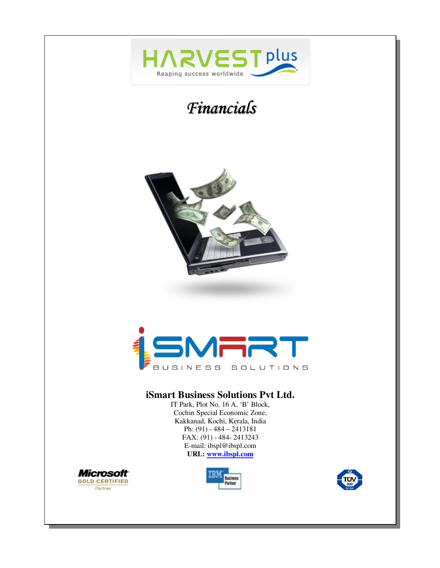







#### **iSmart Business Solutions Pvt Ltd.**

IT Park, Plot No. 16 A, 'B' Block, Cochin Special Economic Zone, Kakkanad, Kochi, Kerala, India Ph: (91) - 484 – 2413181 FAX: (91) - 484- 2413243 E-mail: ibspl@ibspl.com **URL: www.ibspl.com**





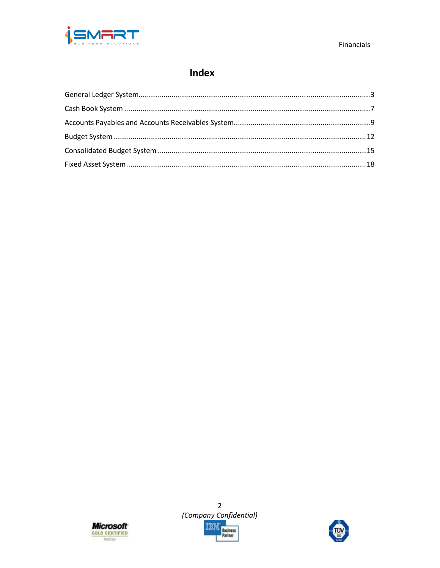

# Index





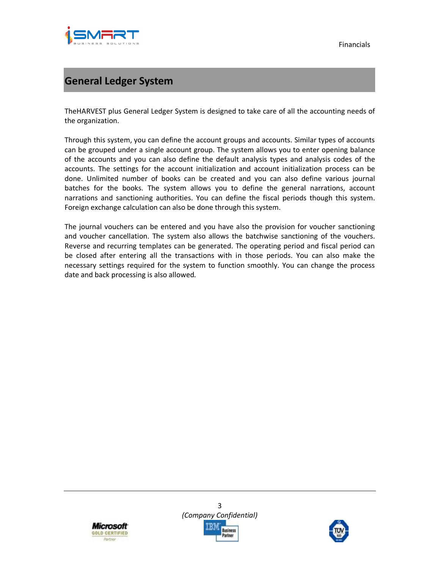

# **General Ledger System**

TheHARVEST plus General Ledger System is designed to take care of all the accounting needs of the organization.

Through this system, you can define the account groups and accounts. Similar types of accounts can be grouped under a single account group. The system allows you to enter opening balance of the accounts and you can also define the default analysis types and analysis codes of the accounts. The settings for the account initialization and account initialization process can be done. Unlimited number of books can be created and you can also define various journal batches for the books. The system allows you to define the general narrations, account narrations and sanctioning authorities. You can define the fiscal periods though this system. Foreign exchange calculation can also be done through this system.

The journal vouchers can be entered and you have also the provision for voucher sanctioning and voucher cancellation. The system also allows the batchwise sanctioning of the vouchers. Reverse and recurring templates can be generated. The operating period and fiscal period can be closed after entering all the transactions with in those periods. You can also make the necessary settings required for the system to function smoothly. You can change the process date and back processing is also allowed.





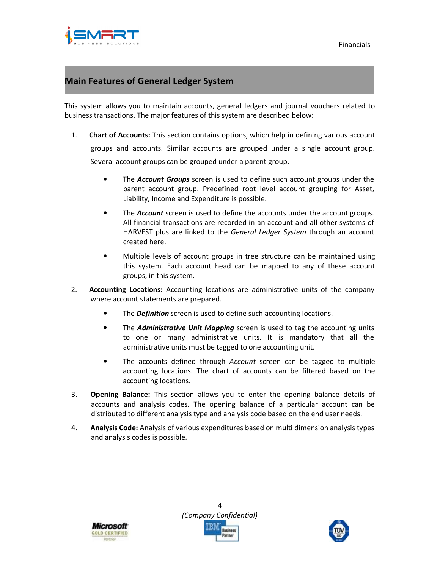

### **Main Features of General Ledger System**

This system allows you to maintain accounts, general ledgers and journal vouchers related to business transactions. The major features of this system are described below:

- 1. **Chart of Accounts:** This section contains options, which help in defining various account groups and accounts. Similar accounts are grouped under a single account group. Several account groups can be grouped under a parent group.
	- The *Account Groups* screen is used to define such account groups under the parent account group. Predefined root level account grouping for Asset, Liability, Income and Expenditure is possible.
	- The **Account** screen is used to define the accounts under the account groups. All financial transactions are recorded in an account and all other systems of HARVEST plus are linked to the *General Ledger System* through an account created here.
	- Multiple levels of account groups in tree structure can be maintained using this system. Each account head can be mapped to any of these account groups, in this system.
- 2. **Accounting Locations:** Accounting locations are administrative units of the company where account statements are prepared.
	- The *Definition* screen is used to define such accounting locations.
	- The *Administrative Unit Mapping* screen is used to tag the accounting units to one or many administrative units. It is mandatory that all the administrative units must be tagged to one accounting unit.
	- The accounts defined through *Account* screen can be tagged to multiple accounting locations. The chart of accounts can be filtered based on the accounting locations.
- 3. **Opening Balance:** This section allows you to enter the opening balance details of accounts and analysis codes. The opening balance of a particular account can be distributed to different analysis type and analysis code based on the end user needs.
- 4. **Analysis Code:** Analysis of various expenditures based on multi dimension analysis types and analysis codes is possible.



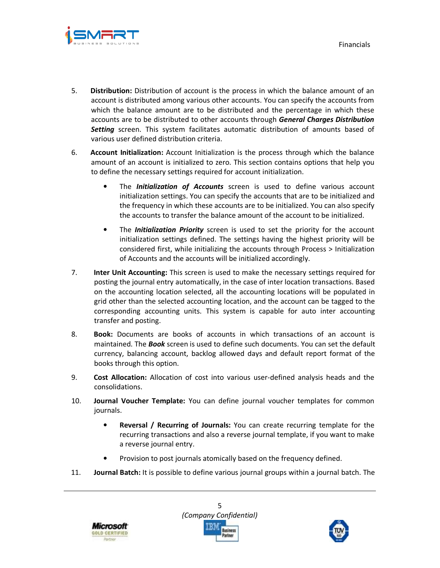

- 5. **Distribution:** Distribution of account is the process in which the balance amount of an account is distributed among various other accounts. You can specify the accounts from which the balance amount are to be distributed and the percentage in which these accounts are to be distributed to other accounts through *General Charges Distribution Setting* screen. This system facilitates automatic distribution of amounts based of various user defined distribution criteria.
- 6. **Account Initialization:** Account Initialization is the process through which the balance amount of an account is initialized to zero. This section contains options that help you to define the necessary settings required for account initialization.
	- The *Initialization of Accounts* screen is used to define various account initialization settings. You can specify the accounts that are to be initialized and the frequency in which these accounts are to be initialized. You can also specify the accounts to transfer the balance amount of the account to be initialized.
	- The *Initialization Priority* screen is used to set the priority for the account initialization settings defined. The settings having the highest priority will be considered first, while initializing the accounts through Process > Initialization of Accounts and the accounts will be initialized accordingly.
- 7. **Inter Unit Accounting:** This screen is used to make the necessary settings required for posting the journal entry automatically, in the case of inter location transactions. Based on the accounting location selected, all the accounting locations will be populated in grid other than the selected accounting location, and the account can be tagged to the corresponding accounting units. This system is capable for auto inter accounting transfer and posting.
- 8. **Book:** Documents are books of accounts in which transactions of an account is maintained. The *Book* screen is used to define such documents. You can set the default currency, balancing account, backlog allowed days and default report format of the books through this option.
- 9. **Cost Allocation:** Allocation of cost into various user-defined analysis heads and the consolidations.
- 10. **Journal Voucher Template:** You can define journal voucher templates for common journals.
	- **Reversal / Recurring of Journals:** You can create recurring template for the recurring transactions and also a reverse journal template, if you want to make a reverse journal entry.
	- Provision to post journals atomically based on the frequency defined.
- 11. **Journal Batch:** It is possible to define various journal groups within a journal batch. The





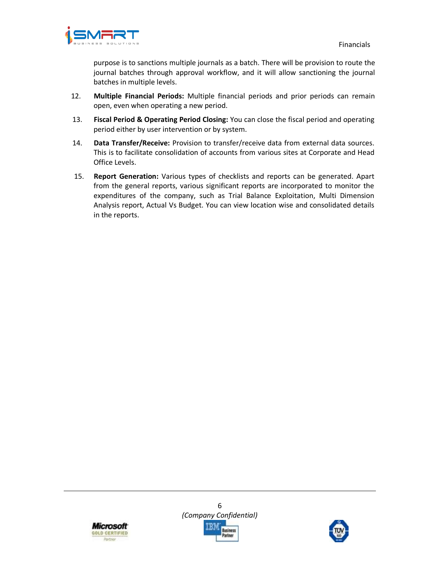

purpose is to sanctions multiple journals as a batch. There will be provision to route the journal batches through approval workflow, and it will allow sanctioning the journal batches in multiple levels.

- 12. **Multiple Financial Periods:** Multiple financial periods and prior periods can remain open, even when operating a new period.
- 13. **Fiscal Period & Operating Period Closing:** You can close the fiscal period and operating period either by user intervention or by system.
- 14. **Data Transfer/Receive:** Provision to transfer/receive data from external data sources. This is to facilitate consolidation of accounts from various sites at Corporate and Head Office Levels.
- 15. **Report Generation:** Various types of checklists and reports can be generated. Apart from the general reports, various significant reports are incorporated to monitor the expenditures of the company, such as Trial Balance Exploitation, Multi Dimension Analysis report, Actual Vs Budget. You can view location wise and consolidated details in the reports.



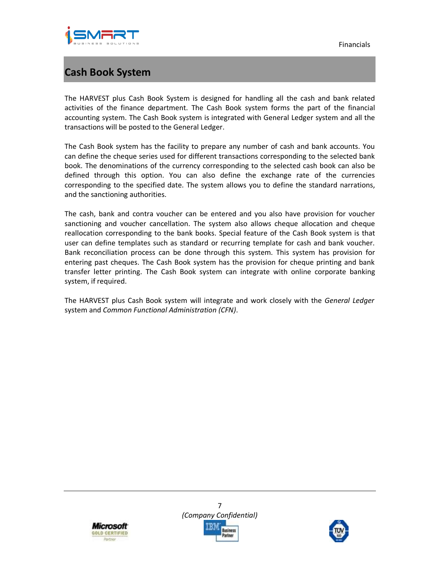

### **Cash Book System**

The HARVEST plus Cash Book System is designed for handling all the cash and bank related activities of the finance department. The Cash Book system forms the part of the financial accounting system. The Cash Book system is integrated with General Ledger system and all the transactions will be posted to the General Ledger.

The Cash Book system has the facility to prepare any number of cash and bank accounts. You can define the cheque series used for different transactions corresponding to the selected bank book. The denominations of the currency corresponding to the selected cash book can also be defined through this option. You can also define the exchange rate of the currencies corresponding to the specified date. The system allows you to define the standard narrations, and the sanctioning authorities.

The cash, bank and contra voucher can be entered and you also have provision for voucher sanctioning and voucher cancellation. The system also allows cheque allocation and cheque reallocation corresponding to the bank books. Special feature of the Cash Book system is that user can define templates such as standard or recurring template for cash and bank voucher. Bank reconciliation process can be done through this system. This system has provision for entering past cheques. The Cash Book system has the provision for cheque printing and bank transfer letter printing. The Cash Book system can integrate with online corporate banking system, if required.

The HARVEST plus Cash Book system will integrate and work closely with the *General Ledger*  system and *Common Functional Administration (CFN)*.





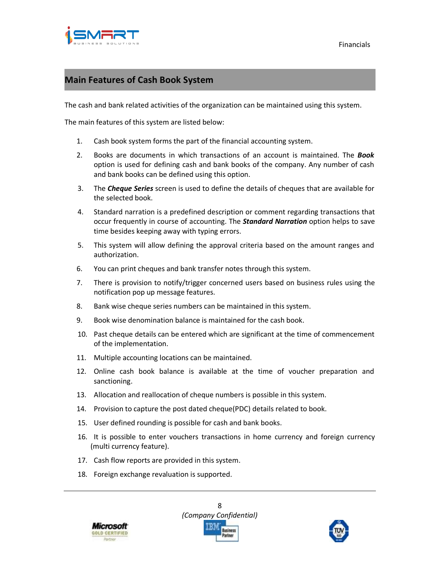

### **Main Features of Cash Book System**

The cash and bank related activities of the organization can be maintained using this system.

The main features of this system are listed below:

- 1. Cash book system forms the part of the financial accounting system.
- 2. Books are documents in which transactions of an account is maintained. The *Book* option is used for defining cash and bank books of the company. Any number of cash and bank books can be defined using this option.
- 3. The *Cheque Series* screen is used to define the details of cheques that are available for the selected book.
- 4. Standard narration is a predefined description or comment regarding transactions that occur frequently in course of accounting. The *Standard Narration* option helps to save time besides keeping away with typing errors.
- 5. This system will allow defining the approval criteria based on the amount ranges and authorization.
- 6. You can print cheques and bank transfer notes through this system.
- 7. There is provision to notify/trigger concerned users based on business rules using the notification pop up message features.
- 8. Bank wise cheque series numbers can be maintained in this system.
- 9. Book wise denomination balance is maintained for the cash book.
- 10. Past cheque details can be entered which are significant at the time of commencement of the implementation.
- 11. Multiple accounting locations can be maintained.
- 12. Online cash book balance is available at the time of voucher preparation and sanctioning.
- 13. Allocation and reallocation of cheque numbers is possible in this system.
- 14. Provision to capture the post dated cheque(PDC) details related to book.
- 15. User defined rounding is possible for cash and bank books.
- 16. It is possible to enter vouchers transactions in home currency and foreign currency (multi currency feature).
- 17. Cash flow reports are provided in this system.
- 18. Foreign exchange revaluation is supported.





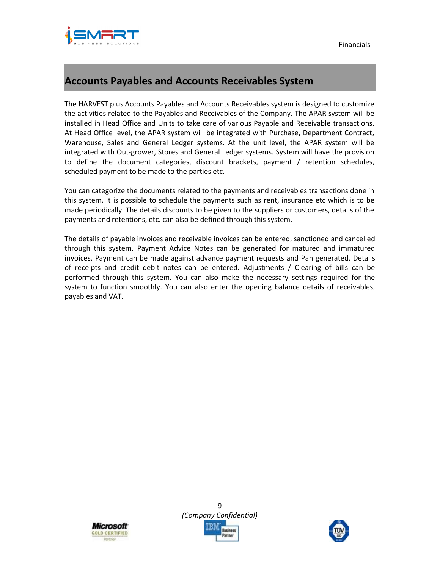



### **Accounts Payables and Accounts Receivables System**

The HARVEST plus Accounts Payables and Accounts Receivables system is designed to customize the activities related to the Payables and Receivables of the Company. The APAR system will be installed in Head Office and Units to take care of various Payable and Receivable transactions. At Head Office level, the APAR system will be integrated with Purchase, Department Contract, Warehouse, Sales and General Ledger systems. At the unit level, the APAR system will be integrated with Out-grower, Stores and General Ledger systems. System will have the provision to define the document categories, discount brackets, payment / retention schedules, scheduled payment to be made to the parties etc.

You can categorize the documents related to the payments and receivables transactions done in this system. It is possible to schedule the payments such as rent, insurance etc which is to be made periodically. The details discounts to be given to the suppliers or customers, details of the payments and retentions, etc. can also be defined through this system.

The details of payable invoices and receivable invoices can be entered, sanctioned and cancelled through this system. Payment Advice Notes can be generated for matured and immatured invoices. Payment can be made against advance payment requests and Pan generated. Details of receipts and credit debit notes can be entered. Adjustments / Clearing of bills can be performed through this system. You can also make the necessary settings required for the system to function smoothly. You can also enter the opening balance details of receivables, payables and VAT.





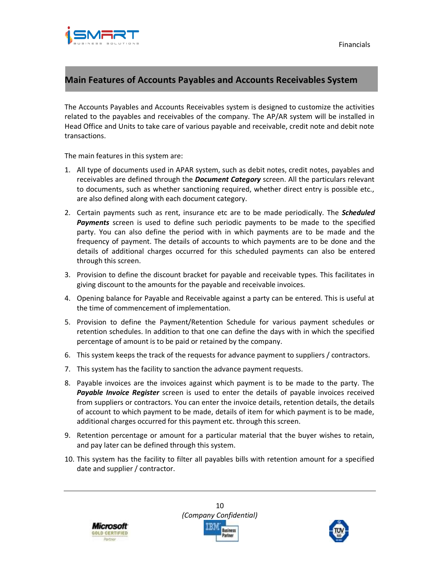Financials



### **Main Features of Accounts Payables and Accounts Receivables System**

The Accounts Payables and Accounts Receivables system is designed to customize the activities related to the payables and receivables of the company. The AP/AR system will be installed in Head Office and Units to take care of various payable and receivable, credit note and debit note transactions.

The main features in this system are:

- 1. All type of documents used in APAR system, such as debit notes, credit notes, payables and receivables are defined through the *Document Category* screen. All the particulars relevant to documents, such as whether sanctioning required, whether direct entry is possible etc., are also defined along with each document category.
- 2. Certain payments such as rent, insurance etc are to be made periodically. The *Scheduled Payments* screen is used to define such periodic payments to be made to the specified party. You can also define the period with in which payments are to be made and the frequency of payment. The details of accounts to which payments are to be done and the details of additional charges occurred for this scheduled payments can also be entered through this screen.
- 3. Provision to define the discount bracket for payable and receivable types. This facilitates in giving discount to the amounts for the payable and receivable invoices.
- 4. Opening balance for Payable and Receivable against a party can be entered. This is useful at the time of commencement of implementation.
- 5. Provision to define the Payment/Retention Schedule for various payment schedules or retention schedules. In addition to that one can define the days with in which the specified percentage of amount is to be paid or retained by the company.
- 6. This system keeps the track of the requests for advance payment to suppliers / contractors.
- 7. This system has the facility to sanction the advance payment requests.
- 8. Payable invoices are the invoices against which payment is to be made to the party. The *Payable Invoice Register* screen is used to enter the details of payable invoices received from suppliers or contractors. You can enter the invoice details, retention details, the details of account to which payment to be made, details of item for which payment is to be made, additional charges occurred for this payment etc. through this screen.
- 9. Retention percentage or amount for a particular material that the buyer wishes to retain, and pay later can be defined through this system.
- 10. This system has the facility to filter all payables bills with retention amount for a specified date and supplier / contractor.





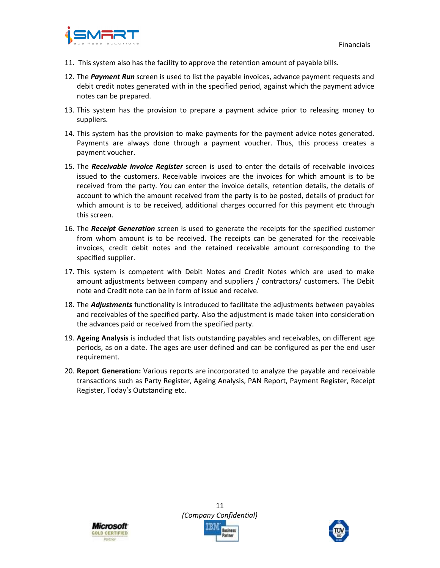

- 11. This system also has the facility to approve the retention amount of payable bills.
- 12. The *Payment Run* screen is used to list the payable invoices, advance payment requests and debit credit notes generated with in the specified period, against which the payment advice notes can be prepared.
- 13. This system has the provision to prepare a payment advice prior to releasing money to suppliers.
- 14. This system has the provision to make payments for the payment advice notes generated. Payments are always done through a payment voucher. Thus, this process creates a payment voucher.
- 15. The *Receivable Invoice Register* screen is used to enter the details of receivable invoices issued to the customers. Receivable invoices are the invoices for which amount is to be received from the party. You can enter the invoice details, retention details, the details of account to which the amount received from the party is to be posted, details of product for which amount is to be received, additional charges occurred for this payment etc through this screen.
- 16. The *Receipt Generation* screen is used to generate the receipts for the specified customer from whom amount is to be received. The receipts can be generated for the receivable invoices, credit debit notes and the retained receivable amount corresponding to the specified supplier.
- 17. This system is competent with Debit Notes and Credit Notes which are used to make amount adjustments between company and suppliers / contractors/ customers. The Debit note and Credit note can be in form of issue and receive.
- 18. The *Adjustments* functionality is introduced to facilitate the adjustments between payables and receivables of the specified party. Also the adjustment is made taken into consideration the advances paid or received from the specified party.
- 19. **Ageing Analysis** is included that lists outstanding payables and receivables, on different age periods, as on a date. The ages are user defined and can be configured as per the end user requirement.
- 20. **Report Generation:** Various reports are incorporated to analyze the payable and receivable transactions such as Party Register, Ageing Analysis, PAN Report, Payment Register, Receipt Register, Today's Outstanding etc.





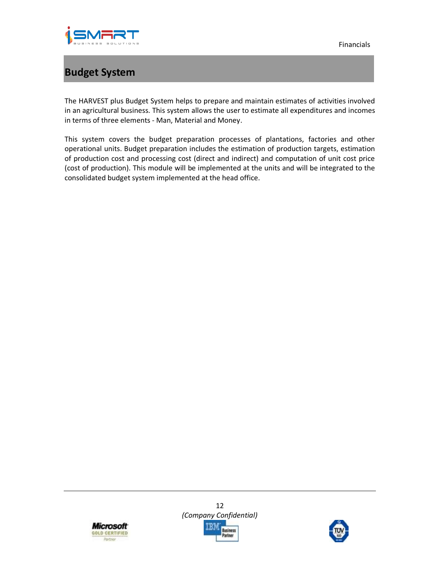

Financials

## **Budget System**

The HARVEST plus Budget System helps to prepare and maintain estimates of activities involved in an agricultural business. This system allows the user to estimate all expenditures and incomes in terms of three elements - Man, Material and Money.

This system covers the budget preparation processes of plantations, factories and other operational units. Budget preparation includes the estimation of production targets, estimation of production cost and processing cost (direct and indirect) and computation of unit cost price (cost of production). This module will be implemented at the units and will be integrated to the consolidated budget system implemented at the head office.





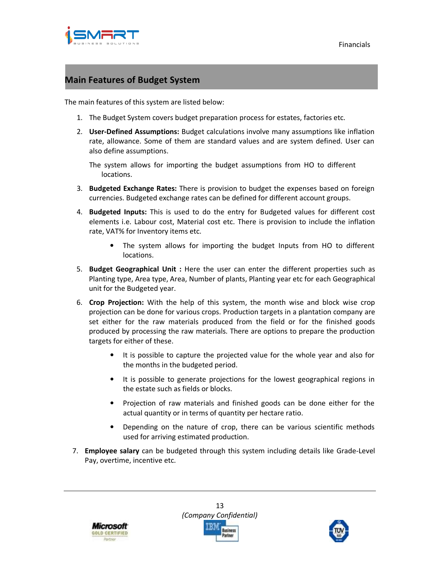

#### **Main Features of Budget System**

The main features of this system are listed below:

- 1. The Budget System covers budget preparation process for estates, factories etc.
- 2. **User-Defined Assumptions:** Budget calculations involve many assumptions like inflation rate, allowance. Some of them are standard values and are system defined. User can also define assumptions.

The system allows for importing the budget assumptions from HO to different locations.

- 3. **Budgeted Exchange Rates:** There is provision to budget the expenses based on foreign currencies. Budgeted exchange rates can be defined for different account groups.
- 4. **Budgeted Inputs:** This is used to do the entry for Budgeted values for different cost elements i.e. Labour cost, Material cost etc. There is provision to include the inflation rate, VAT% for Inventory items etc.
	- The system allows for importing the budget Inputs from HO to different locations.
- 5. **Budget Geographical Unit :** Here the user can enter the different properties such as Planting type, Area type, Area, Number of plants, Planting year etc for each Geographical unit for the Budgeted year.
- 6. **Crop Projection:** With the help of this system, the month wise and block wise crop projection can be done for various crops. Production targets in a plantation company are set either for the raw materials produced from the field or for the finished goods produced by processing the raw materials. There are options to prepare the production targets for either of these.
	- It is possible to capture the projected value for the whole year and also for the months in the budgeted period.
	- It is possible to generate projections for the lowest geographical regions in the estate such as fields or blocks.
	- Projection of raw materials and finished goods can be done either for the actual quantity or in terms of quantity per hectare ratio.
	- Depending on the nature of crop, there can be various scientific methods used for arriving estimated production.
- 7. **Employee salary** can be budgeted through this system including details like Grade-Level Pay, overtime, incentive etc.





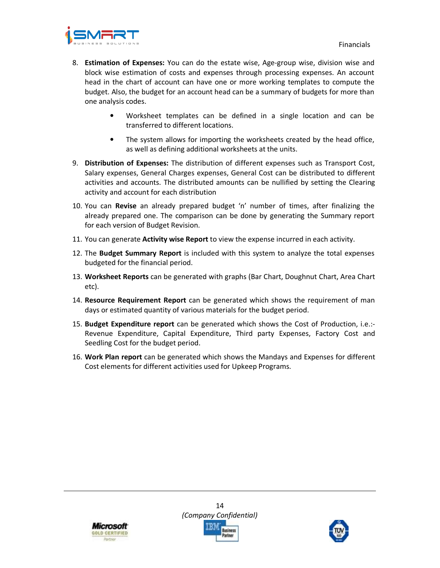

- 8. **Estimation of Expenses:** You can do the estate wise, Age-group wise, division wise and block wise estimation of costs and expenses through processing expenses. An account head in the chart of account can have one or more working templates to compute the budget. Also, the budget for an account head can be a summary of budgets for more than one analysis codes.
	- Worksheet templates can be defined in a single location and can be transferred to different locations.
	- The system allows for importing the worksheets created by the head office, as well as defining additional worksheets at the units.
- 9. **Distribution of Expenses:** The distribution of different expenses such as Transport Cost, Salary expenses, General Charges expenses, General Cost can be distributed to different activities and accounts. The distributed amounts can be nullified by setting the Clearing activity and account for each distribution
- 10. You can **Revise** an already prepared budget 'n' number of times, after finalizing the already prepared one. The comparison can be done by generating the Summary report for each version of Budget Revision.
- 11. You can generate **Activity wise Report** to view the expense incurred in each activity.
- 12. The **Budget Summary Report** is included with this system to analyze the total expenses budgeted for the financial period.
- 13. **Worksheet Reports** can be generated with graphs (Bar Chart, Doughnut Chart, Area Chart etc).
- 14. **Resource Requirement Report** can be generated which shows the requirement of man days or estimated quantity of various materials for the budget period.
- 15. **Budget Expenditure report** can be generated which shows the Cost of Production, i.e.:- Revenue Expenditure, Capital Expenditure, Third party Expenses, Factory Cost and Seedling Cost for the budget period.
- 16. **Work Plan report** can be generated which shows the Mandays and Expenses for different Cost elements for different activities used for Upkeep Programs.





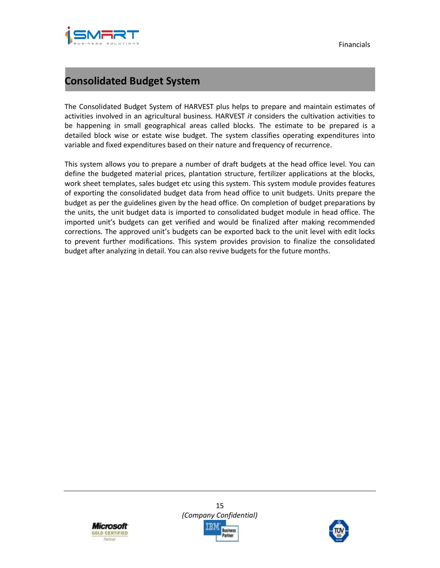

### **Consolidated Budget System**

The Consolidated Budget System of HARVEST plus helps to prepare and maintain estimates of activities involved in an agricultural business. HARVEST *it* considers the cultivation activities to be happening in small geographical areas called blocks. The estimate to be prepared is a detailed block wise or estate wise budget. The system classifies operating expenditures into variable and fixed expenditures based on their nature and frequency of recurrence.

This system allows you to prepare a number of draft budgets at the head office level. You can define the budgeted material prices, plantation structure, fertilizer applications at the blocks, work sheet templates, sales budget etc using this system. This system module provides features of exporting the consolidated budget data from head office to unit budgets. Units prepare the budget as per the guidelines given by the head office. On completion of budget preparations by the units, the unit budget data is imported to consolidated budget module in head office. The imported unit's budgets can get verified and would be finalized after making recommended corrections. The approved unit's budgets can be exported back to the unit level with edit locks to prevent further modifications. This system provides provision to finalize the consolidated budget after analyzing in detail. You can also revive budgets for the future months.





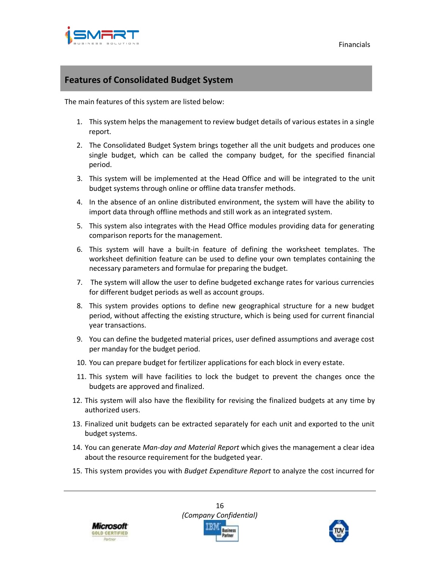

### **Features of Consolidated Budget System**

The main features of this system are listed below:

- 1. This system helps the management to review budget details of various estates in a single report.
- 2. The Consolidated Budget System brings together all the unit budgets and produces one single budget, which can be called the company budget, for the specified financial period.
- 3. This system will be implemented at the Head Office and will be integrated to the unit budget systems through online or offline data transfer methods.
- 4. In the absence of an online distributed environment, the system will have the ability to import data through offline methods and still work as an integrated system.
- 5. This system also integrates with the Head Office modules providing data for generating comparison reports for the management.
- 6. This system will have a built-in feature of defining the worksheet templates. The worksheet definition feature can be used to define your own templates containing the necessary parameters and formulae for preparing the budget.
- 7. The system will allow the user to define budgeted exchange rates for various currencies for different budget periods as well as account groups.
- 8. This system provides options to define new geographical structure for a new budget period, without affecting the existing structure, which is being used for current financial year transactions.
- 9. You can define the budgeted material prices, user defined assumptions and average cost per manday for the budget period.
- 10. You can prepare budget for fertilizer applications for each block in every estate.
- 11. This system will have facilities to lock the budget to prevent the changes once the budgets are approved and finalized.
- 12. This system will also have the flexibility for revising the finalized budgets at any time by authorized users.
- 13. Finalized unit budgets can be extracted separately for each unit and exported to the unit budget systems.
- 14. You can generate *Man-day and Material Report* which gives the management a clear idea about the resource requirement for the budgeted year.
- 15. This system provides you with *Budget Expenditure Report* to analyze the cost incurred for





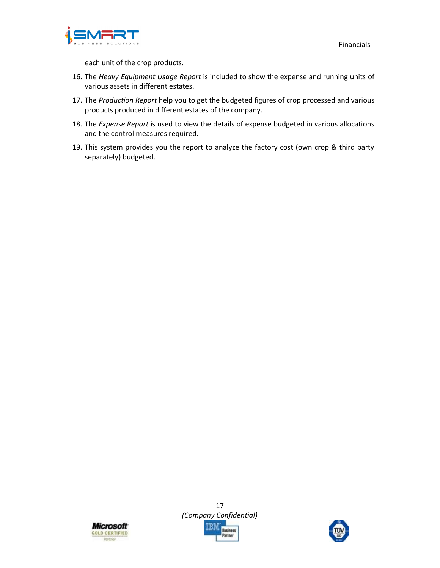

each unit of the crop products.

- 16. The *Heavy Equipment Usage Report* is included to show the expense and running units of various assets in different estates.
- 17. The *Production Report* help you to get the budgeted figures of crop processed and various products produced in different estates of the company.
- 18. The *Expense Report* is used to view the details of expense budgeted in various allocations and the control measures required.
- 19. This system provides you the report to analyze the factory cost (own crop & third party separately) budgeted.



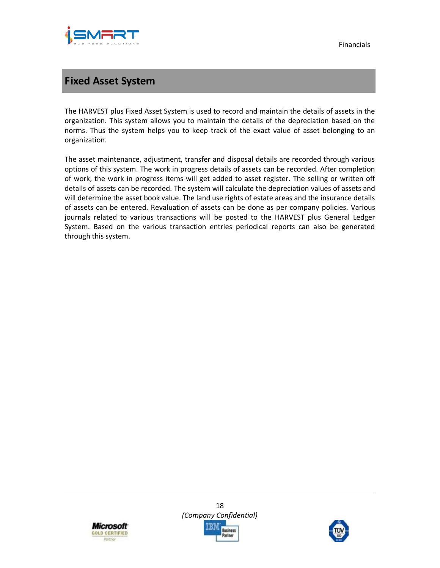

### **Fixed Asset System**

The HARVEST plus Fixed Asset System is used to record and maintain the details of assets in the organization. This system allows you to maintain the details of the depreciation based on the norms. Thus the system helps you to keep track of the exact value of asset belonging to an organization.

The asset maintenance, adjustment, transfer and disposal details are recorded through various options of this system. The work in progress details of assets can be recorded. After completion of work, the work in progress items will get added to asset register. The selling or written off details of assets can be recorded. The system will calculate the depreciation values of assets and will determine the asset book value. The land use rights of estate areas and the insurance details of assets can be entered. Revaluation of assets can be done as per company policies. Various journals related to various transactions will be posted to the HARVEST plus General Ledger System. Based on the various transaction entries periodical reports can also be generated through this system.





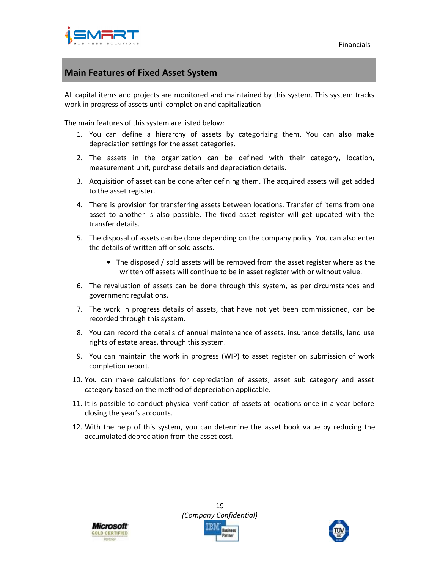

#### **Main Features of Fixed Asset System**

All capital items and projects are monitored and maintained by this system. This system tracks work in progress of assets until completion and capitalization

The main features of this system are listed below:

- 1. You can define a hierarchy of assets by categorizing them. You can also make depreciation settings for the asset categories.
- 2. The assets in the organization can be defined with their category, location, measurement unit, purchase details and depreciation details.
- 3. Acquisition of asset can be done after defining them. The acquired assets will get added to the asset register.
- 4. There is provision for transferring assets between locations. Transfer of items from one asset to another is also possible. The fixed asset register will get updated with the transfer details.
- 5. The disposal of assets can be done depending on the company policy. You can also enter the details of written off or sold assets.
	- The disposed / sold assets will be removed from the asset register where as the written off assets will continue to be in asset register with or without value.
- 6. The revaluation of assets can be done through this system, as per circumstances and government regulations.
- 7. The work in progress details of assets, that have not yet been commissioned, can be recorded through this system.
- 8. You can record the details of annual maintenance of assets, insurance details, land use rights of estate areas, through this system.
- 9. You can maintain the work in progress (WIP) to asset register on submission of work completion report.
- 10. You can make calculations for depreciation of assets, asset sub category and asset category based on the method of depreciation applicable.
- 11. It is possible to conduct physical verification of assets at locations once in a year before closing the year's accounts.
- 12. With the help of this system, you can determine the asset book value by reducing the accumulated depreciation from the asset cost.



19 *(Company Confidential)*  usiness